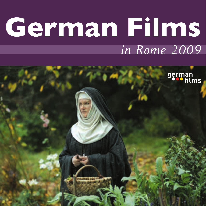# **German Films** *in Rome 2009*

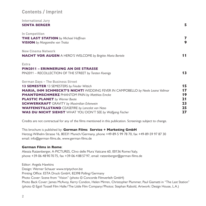#### **Contents / Imprint**

| International Jury<br><b>SENTA BERGER</b>                                                                                                                                               | 5              |
|-----------------------------------------------------------------------------------------------------------------------------------------------------------------------------------------|----------------|
| In Competition<br><b>THE LAST STATION</b> by Michael Hoffman<br><b>VISION</b> by Margarethe von Trotta                                                                                  | 7<br>9         |
| New Cinema Network<br><b>NACHT VOR AUGEN</b> A HERO'S WELCOME by Brigitte Maria Bertele                                                                                                 | 11             |
| Extra<br><b>PIN2011 - ERINNERUNG AN DIE STRASSE</b><br>PIN2011 - RECOLLECTION OF THE STREET by Torsten Koenigs                                                                          | 13             |
| German Days - The Business Street<br><b>13 SEMESTER 13 SEMESTERS by Frieder Wittich</b>                                                                                                 | 15             |
| <b>MARIA, IHM SCHMECKT'S NICHT!</b> WEDDING FEVER IN CAMPOBELLO by Neele Leana Vollmar<br><b>PHANTOMSCHMERZ</b> PHANTOM PAIN by Matthias Emcke<br><b>PLASTIC PLANET</b> by Werner Boote | 17<br>19<br>21 |
| <b>SCHWERKRAFT</b> GRAVITY by Maximilian Erlenwein<br><b>WAFFENSTILLSTAND</b> CEASEFIRE by Lancelot von Naso<br><b>WAS DU NICHT SIEHST</b> WHAT YOU DON'T SEE by Wolfgang Fischer       | 23<br>25<br>27 |

Credits are not contractual for any of the films mentioned in this publication. Screenings subject to change.

This brochure is published by: **German Films Service + Marketing GmbH** Herzog-Wilhelm-Strasse 16, 80331 Munich/Germany, phone +49-89-5 99 78 70, fax +49-89-59 97 87 30 email: info@german-films.de, www.german-films.de

#### **German Films in Rome**:

Alessia Ratzenberger, A-PICTURES, Clivo delle Mura Vaticane 60, 00136 Rome/Italy, phone +39-06-48 90 70 75, fax +39-06-4 88 57 97, email: ratzenberger@german-films.de

Editor: Angela Hawkins Design: Werner Schauer www.triptychon.biz Printing Office: ESTA Druck GmbH, 82398 Polling/Germany Photo Cover: Scene from "Vision" (photo © Concorde Filmverleih GmbH) Photo Back Cover: James McAvoy, Kerry Condon, Helen Mirren, Christopher Plummer, Paul Giamatti in "The Last Station" (photo © Egoli Tossell Film Halle/The Little Film Company/Photos: Stephan Rabold, Artwork: Design House, L.A.)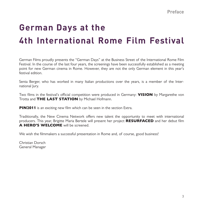# **German Days at the 4th International Rome Film Festival**

German Films proudly presents the "German Days" at the Business Street of the International Rome Film Festival. In the course of the last four years, the screenings have been successfully established as a meeting point for new German cinema in Rome. However, they are not the only German element in this year's festival edition.

Senta Berger, who has worked in many Italian productions over the years, is a member of the International Jury.

Two films in the festival's official competition were produced in Germany: **VISION** by Margarethe von Trotta and **THE LAST STATION** by Michael Hofmann.

**PIN2011** is an exciting new film which can be seen in the section Extra.

Traditionally, the New Cinema Network offers new talent the opportunity to meet with international producers. This year, Brigitte Maria Bertele will present her project **RESURFACED** and her debut film **A HERO'S WELCOME** will be screened.

We wish the filmmakers a successful presentation in Rome and, of course, good business!

Christian Dorsch General Manager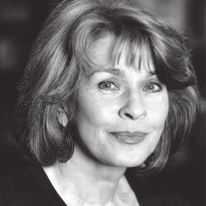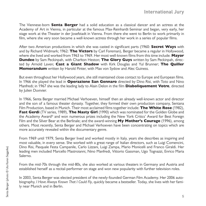The Viennese-born **Senta Berger** had a solid education as a classical dancer and an actress at the Academy of Art in Vienna, in particular at the famous Max-Reinhardt-Seminar and began, very early, her stage work at the Theater in der Josefstadt in Vienna. From there she went to Berlin to work primarily in film, where she very soon became a well-known actress through her work in a series of popular films.

After two American productions in which she was casted in significant parts (1960: **Secret Ways** with and by Richard Widmark; 1962: **The Victors** by Carl Foreman), Berger became a regular in Hollywood, where she lived and worked from 1963 to 1969. Her most well-known films from this time include: **Mayor Dundee** by Sam Peckinpah, with Charlton Heston; **The Glory Guys** written by Sam Peckinpah, directed by Arnold Laven; **Cast a Giant Shadow** with Kirk Douglas and Yul Brunner; **The Quiller Memorandum** written by Harold Pinter, with Max von Sydow and Alec Guiness.

But even throughout her Hollywood years, she still maintained close contact to Europe and European films. In 1966 she played the lead in **Operazione San Gennaro** directed by Dino Risi, with Toto and Nino Manfredi; in 1967 she was the leading lady to Alain Delon in the film **Diaboliquement Votre**, directed by Julien Duvivier.

In 1966, Senta Berger married Michael Verhoeven, himself then an already well-known actor and director and the son of a famous theater dynasty. Together, they formed their own production company, Sentana Film Production, based in Munich. Their most acclaimed films together include: **The White Rose** (1982), **Fast Gerdi** (TV series, 1989), **The Nasty Girl** (1990) which was nominated for the Golden Globe and the Academy Award® and won numerous prizes including the New York Critics' Award for Best Foreign Film and the Silver Bear at the Berlinale; and the award-winning **My Mother's Courage** (1996), among others. Most recently, Senta Berger and Michael Verhoeven have been concentrating on topics which are more accurately revealed within the documentary genre.

From 1969 until 1979, Senta Berger lived and worked mostly in Italy, years she describes as inspiring and most valuable, in every sense. She worked with a great range of Italian directors, such as Luigi Comencini, Dino Risi, Pasquale Festa Campanile, Carlo Lizzani, Luigi Zampa, Mario Monicelli and Franco Giraldi. Her leading men included Marcello Mastroianni, Nino Manfredi, Vittorio Gassman, Ugo Tognazzi, Enrico Maria Salerno.

From the mid-70s through the mid-80s, she also worked at various theaters in Germany and Austria and established herself as a recital-performer on stage and won new popularity with further television roles.

In 2003, Senta Berger was elected president of the newly-founded German Film Academy. Her 2006 autobiography, *I Have Always Known That I Could Fly*, quickly became a bestseller. Today, she lives with her family near Munich and in Berlin.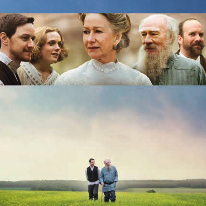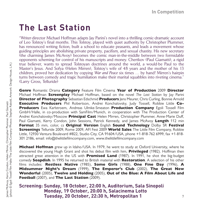### **The Last Station**

"Writer-director Michael Hoffman adapts Jay Parini's novel into a thrilling comic-dramatic account of Leo Tolstoy's final months. This Tolstoy, played with quiet authority by Christopher Plummer, has renounced writing fiction, built a school to educate peasants, and leads a movement whose guiding principles are abolishing private property, pacifism, and sexual chastity. His new secretary (the charming James McAvoy) becomes the comic man-in-the-middle between two formidable opponents scheming for control of his manuscripts and money. Chertkov (Paul Giamatti), a rigid true believer, wants to spread Tolstoyan doctrines around the world, a would-be Paul to the Master's Jesus. And Sofya (Helen Mirren), Tolstoy's wife of 48 years and the mother of his 13 children, proved her dedication by copying *War and Peace* six times … by hand! Mirren's hairpin turns between comedy and tragic humiliation make their marital squabbles into riveting cinema." (Larry Gross, Telluride)

**Genre** Romantic Drama **Category** Feature Film Cinema **Year of Production** 2009 **Director** Michael Hoffman **Screenplay** Michael Hoffman, based on the novel *The Last Station* by Jay Parini **Director of Photography** Sebastian Edschmid **Producers** Jens Meurer, Chris Curling, Bonnie Arnold **Executive Producers** Phil Robertson, Andrei Konchalovsky, Judy Tossell, Robbie Little **Co-Producers** Ewa Karlstroem, Andreas Ulmke-Smeaton **Production Company** Egoli Tossell Film GmbH/Halle, in co-production with SamFilm/Munich, in cooperation with The Production Center of Andrei Konchalovsky/Moscow **Principal Cast** Helen Mirren, Christopher Plummer, Anne-Marie Duff, Paul Giamatti, Kerry Condon, John Sessions, Patrick Kennedy, and James McAvoy Length 112 min **Format** 35 mm, color, cs **Original Version** English **Sound Technology** Dolby SR **Festival Screenings** Telluride 2009, Rome 2009, AFI Fest 2009 **World Sales** The Little Film Company, Robbie Little, 12930 Ventura Boulevard #822, Studio City, CA 91604/USA, phone +1-818-762 6999, fax +1-818- 301 2186, email: info@thelittlefilmcompany.com, www.thelittlefilmcompany.com

**Michael Hoffman** grew up in Idaho/USA. In 1979, he went to study at Oxford University, where he discovered the young Hugh Grant and shot his debut film with him, **Privileged** (1982). Hoffman then attracted great attention in the US with **Promised Land** (1987). In 1991, he shot the big-budget comedy **Soapdish**. In 1995 he returned to British material with **Restoration**. A selection of his other films includes: **Restless Native** (1985), **Some Girls** (1988), **One Fine Day** (1996), **A Midsummer Night's Dream** (1999), **The Emperor's Club** (2002), **The Great New Wonderful** (2005), **Twelve and Holding** (2005), **Out of the Blue: A Film About Life and Football** (2007), and **The Last Station** (2009).

**Screening: Sunday, 18 October, 22:00 h, Auditorium, Sala Sinopoli Screening: Monday, 19 October, 20:00 h, Salacinema Lotto Screening: Tuesday, 20 October, 22:30 h, Metropolitan 1**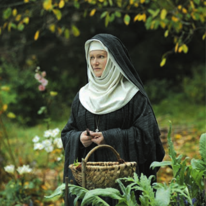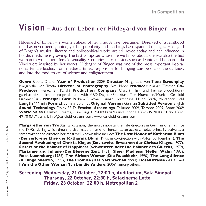### **Vision – Aus dem Leben der Hildegard von Bingen VISION**

Hildegard of Bingen – a woman ahead of her time. A true forerunner. Deserved of a sainthood that has never been granted, yet her popularity and teachings have spanned the ages. Hildegard of Bingen's musical, literary and philosophical works are still loved today and her influence in holistic medicine is growing. The first composer whose life we know about, she was also the first woman to write about female sexuality. Centuries later, masters such as Dante and Leonardo da Vinci were inspired by her works. Hildegard of Bingen was one of the most important inspirational female leaders from medieval times, responsible for bringing Europe out of the darkness and into the modern era of science and enlightenment.

**Genre** Biopic, Drama **Year of Production** 2009 **Director** Margarethe von Trotta **Screenplay** Margarethe von Trotta **Director of Photography** Axel Block **Producer** Markus Zimmer **Co-Producer** Hengameh Panahi **Production Company** Clasart Film- und Fernsehproduktionsgesellschaft/Munich, in co-production with ARD-Degeto/Frankfurt, Tele Muenchen/Munich, Celluloid Dreams/Paris **Principal Cast** Barbara Sukowa, Hannah Herzsprung, Heino Ferch, Alexander Held **Length** 111 min **Format** 35 mm, color, cs **Original Version** German **Subtitled Version** English **Sound Technology** Dolby SR-D **Festival Screenings** Telluride 2009, Toronto 2009, Rome 2009 **World Sales** Celluloid Dreams, 2 rue Turgot, 75009 Paris/France, phone +33-1-49 70 03 70, fax +33-1 49 70 03 71, email: info@celluloid-dreams.com, www.celluloid-dreams.com

**Margarethe von Trotta** ranks among the most important female directors in German cinema since the 1970s, during which time she also made a name for herself as an actress. Today primarily active as a screenwriter and director, her most well-known films include: **The Lost Honor of Katharina Blum** (**Die verlorene Ehre der Katharina Blum**, 1975, in co-direction with Volker Schloendorff), **The Second Awakening of Christa Klages** (**Das zweite Erwachen der Christa Klages**, 1977), **Sisters or the Balance of Happiness** (**Schwestern oder Die Balance des Gluecks**, 1979), **Marianne and Juliane** (**Die Bleierne Zeit**, 1981), **Sheer Madness** (**Heller Wahn**, 1983), **Rosa Luxemburg** (1985), **The African Woman** (**Die Rueckkehr**, 1990), **The Long Silence** (**Il Lungo Silenzio**, 1993), **The Promise** (**Das Versprechen**, 1994), **Rosenstrasse** (2003), and **I Am the Other Woman** (**Ich bin die Andere**, 2006), among others.

#### **Screening: Wednesday, 21 October, 22:00 h, Auditorium, Sala Sinopoli Screening: Thursday, 22 October, 22:30 h, Salacinema Lotto Screening: Friday, 23 October, 22:00 h, Metropolitan 2**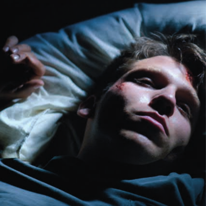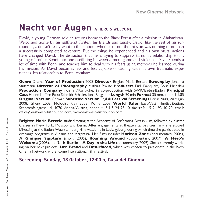### **Nacht vor Augen A HERO'S WELCOME**

David, a young German soldier, returns home to the Black Forest after a mission in Afghanistan. Welcomed home by his girlfriend Kirsten, his friends and family, David, like the rest of his surroundings, doesn't really want to think about whether or not the mission was nothing more than a successfully completed adventure. But the things he experienced and his own brutal actions have changed David. The distraction that he is trying to suppress turns his relationship to his younger brother Benni into one oscillating between a mere game and violence. David spends a lot of time with Benni and teaches him to deal with his fears using methods he learned during his mission. As David becomes less and less capable of dealing with his own traumatic experiences, his relationship to Benni escalates.

**Genre** Drama **Year of Production** 2008 **Director** Brigitte Maria Bertele **Screenplay** Johanna Stuttmann **Director of Photography** Mathias Prause **Producers** Didi Danquart, Boris Michalski **Production Company** noirfilm/Karlsruhe, in co-production with SWR/Baden-Baden **Principal Cast** Hanno Koffler, Petra Schmidt-Schaller, Jona Ruggaber **Length** 90 min **Format** 35 mm, color, 1:1.85 **Original Version** German **Subtitled Version** English **Festival Screenings** Berlin 2008, Viareggio 2008, Ghent 2008, Molodist Kiev 2008, Rome 2009 **World Sales** EastWest Filmdistribution, Schottenfeldgasse 14, 1070 Vienna/Austria, phone +43-1-5 24 93 10, fax +49-1-5 24 93 10 20, email: office@eastwest-distribution.com, www.eastwest-distribution.com

**Brigitte Maria Bertele** studied Acting at the Academy of Performing Arts in Ulm, followed by Master Classes in New York, Moscow and Berlin. After engagements at theaters across Germany, she studied Directing at the Baden-Wuerttemberg Film Academy in Ludwigsburg, during which time she participated in exchange programs in Albania and Argentina. Her films include: **Horizon Zone** (documentary, 2004), **A Glimpse Sqiptare** (short, 2005), **Roaming Around** (documentary, 2007), **A Hero's Welcome** (2008), and **24 h Berlin – A Day in the Life** (documentary, 2009). She is currently working on her next projects, **Der Brand** and **Resurfaced**, which was chosen to participate in the New Cinema Network at the Rome International Film Festival.

#### **Screening: Sunday, 18 October, 12:00 h, Casa del Cinema**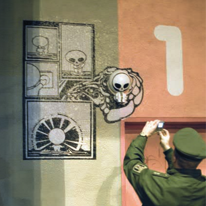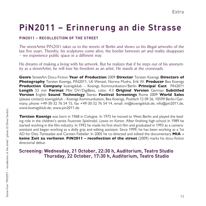## **PiN2011 – Erinnerung an die Strasse**

#### **PIN2011 – RECOLLECTION OF THE STREET**

The streetArtist PiN2011 takes us to the streets of Berlin and shows us his illegal artworks of the last five years. Thereby, his sculptures come alive, the border between art and reality disappears – we experience public space in a different way.

He dreams of making a living with his artwork. But he realizes that if he steps out of his anonymity as a streetArtist, he will lose his freedom as an artist. He stands at the crossroads.

**Genre** StreetArt Docu-Fiction **Year of Production** 2009 **Director** Torsten Koenigs **Directors of Photography** Torsten Koenigs, PiN2011, Uli Wenzel, Norma Mudra, Erik W. **Producer** Bea Koenigs **Production Company** koenigsklub – Koenigs Kommunikation/Berlin **Principal Cast** PiN2011 **Length** 53 min **Format** Mini DV/DigiBeta, color, 4:3 **Original Version** German **Subtitled Version** English **Sound Technology** Stereo **Festival Screenings** Rome 2009 **World Sales** (please contact) koenigsklub – Koenigs Kommunikation, Bea Koenigs, Postfach 12 09 26, 10599 Berlin/Germany, phone +49-30-32 76 54 15, fax +49-30-32 76 54 14, email: im@koenigsklub.de; info@pin2011.de, www.koenigsklub.de; www.pin2011.de

**Torsten Koenigs** was born in 1968 in Cologne. In 1975 he moved to West Berlin and played the leading role in the children's series *Feuerrote Spielmobil*, *Loewe im Karton*. After finishing high-school in 1989 he started working in the film industry. In 1992 he made his first short film and graduated in 1993 as a cameraassistant and began working as a dolly grip and editing assistant. Since 1999, he has been working as a 1st AD for Dito Tsintsadze and Carsten Fiebeler. In 2005 he co-directed and edited the documentary **MIA – keine Zeit zu verlieren**. **PiN2011 – recollection of the street** (2009) marks his docu-fiction directorial debut.

#### **Screening: Wednesday, 21 October, 22:30 h, Auditorium, Teatro Studio Screening: Thursday, 22 October, 17:30 h, Auditorium, Teatro Studio**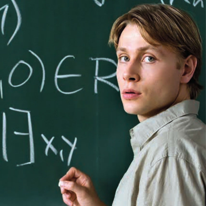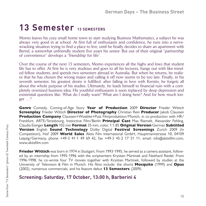### **13 Semester 13 SEMESTERS**

Momo leaves his cozy small home town to start studying Business Mathematics, a subject he was always very good in at school. At first full of enthusiasm and confidence, he runs into a nervewracking situation trying to find a place to live, until he finally decides to share an apartment with Bernd, a somewhat unfriendly student five years his senior. But out of their original "partnership of convenience" develops a "friendship for life".

Over the course of the next 13 semesters, Momo experiences all the highs and lows that student life has to offer. At first he is very studious and goes to all his lectures, hangs out with like-minded fellow students, and spends two semesters abroad in Australia. But when he returns, he realizes that he has chosen the wrong major and calling it off now seems to be too late. Finally, in his seventh semester, his greatest desire is fulfilled: after falling in love with Kerstin, he forgets all about the whole purpose of his studies. Ultimately, he leads himself to financial ruin with a completely oversized business idea. His youthful enthusiasm is soon replaced by deep depression and existential questions like: What do I really want? What am I doing here? And for how much longer …?

**Genre** Comedy, Coming-of-Age Story **Year of Production** 2009 **Director** Frieder Wittich **Screenplay** Frieder Wittich **Director of Photography** Christian Rein **Producer** Jakob Claussen **Production Company** Claussen+Woebke+Putz Filmproduktion/Munich, in co-production with HR/ Frankfurt, ARTE/Strasbourg, Instinctive Film/Berlin **Principal Cast** Max Riemelt, Alexander Fehling, Claudia Eisinger **Length** 102 min **Format** 35 mm, color, 1:1.85 **Original Version** German **Subtitled Version** English **Sound Technology** Dolby Digital **Festival Screenings** Zurich 2009 (In Competition), Hof 2009 **World Sales** Aktis Film International GmbH, Hauptmannstrasse 10, 04109 Leipzig/Germany, phone +49-3 41-1 49 69 42, fax +49-3 45-2 17 51 11, email: info@aktisfilm.com, www.aktisfilm.com

**Frieder Wittich** was born in 1974 in Stuttgart. From 1993-1995, he served as a camera assistant, followed by an internship from 1995-1996 with the scriptwriters Krystian Martinek and Neithard Riedel. From 1996-1998, he co-wrote four TV movies together with Krystian Martinek, followed by studies at the University of Television & Film in Munich. His films include: the shorts **Mosquito** (1999) and **Opus** (2002), numerous commercials, and his feature debut **13 Semesters** (2009).

#### **Screening: Saturday, 17 October, 13:00 h, Barberini 4**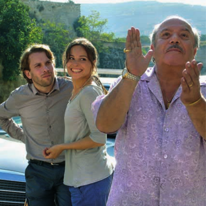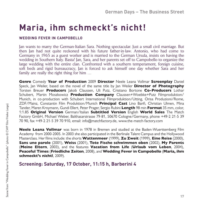### **Maria, ihm schmeckt's nicht!**

#### **WEDDING FEVER IN CAMPOBELLO**

Jan wants to marry the German-Italian Sara. Nothing spectacular. Just a small civil marriage. But then Jan had not quite reckoned with his future father-in-law. Antonio, who had come to Germany in 1965 as a guest worker and is married to the German Ursula, insists on having the wedding in Southern Italy. Basta! Jan, Sara, and her parents set off to Campobello to organize the large wedding with the entire clan. Confronted with a southern temperament, foreign cuisine, soft beds and rigid bureaucracy, Jan is forced to ask himself one day whether Sara and her family are really the right thing for him ...

**Genre** Comedy **Year of Production** 2009 **Director** Neele Leana Vollmar **Screenplay** Daniel Speck, Jan Weiler, based on the novel of the same title by Jan Weiler **Director of Photography** Torsten Breuer **Producers** Jakob Claussen, Uli Putz, Cristiano Bortone **Co-Producers** Lothar Schubert, Martin Moszkowicz **Production Company** Claussen+Woebke+Putz Filmproduktion/ Munich, in co-production with Schubert International Filmproduktion/Utting, Orisa Produzioni/Rome, ZDF/Mainz, Constantin Film Produktion/Munich **Principal Cast** Lino Banfi, Christian Ulmen, Mina Tander, Maren Kroymann, Gundi Ellert, Peter Prager, Sergio Rubini **Length** 98 min **Format** 35 mm, color, 1:1.85 **Original Version** German/Italian **Subtitled Version** English **World Sales** The Match Factory GmbH, Michael Weber, Balthasarstrasse 79-81, 50670 Cologne/Germany, phone +49-2 21-5 39 70 90, fax +49-2 21-5 39 70 910, email: info@matchfactory.de, www.the-match-factory.com

**Neele Leana Vollmar** was born in 1978 in Bremen and studied at the Baden-Wuerttemberg Film Academy from 2000-2005. In 2003 she also participated in the Berlinale Talent Campus and the Hollywood Masterclass. Her films include: the shorts **Wattenmeer** (1999), **Zu Zweit** (1999), **Eine Reise** (2000), **Sans une parole** (2001), **Weiss** (2001), **Tote Fische schwimmen oben** (2002), **My Parents** (**Meine Eltern**, 2003), and the features **Vacation from Life** (**Urlaub vom Leben**, 2004), **Peaceful Times** (**Friedliche Zeiten**, 2008), and **Wedding Fever in Campobello** (**Maria, ihm schmeckt's nicht!**, 2009).

**Screening: Saturday, 17 October, 11:15 h, Barberini 4**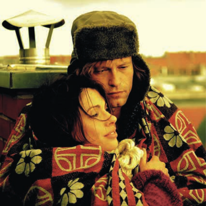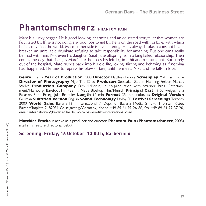### **Phantomschmerz PHANTOM PAIN**

Marc is a lucky beggar. He is good-looking, charming and an educated storyteller that women are fascinated by. If he is not doing any odd jobs to get by, he is on the road with his bike, with which he has travelled the world. Marc's other side is less flattering. He is always broke, a constant heartbreaker, an unreliable drunkard refusing to take responsibility for anything. But one can't really be mad with him. Not even his daughter Sarah, the offspring from a long failed relationship. Then comes the day that changes Marc's life, he loses his left leg in a hit-and-run accident. But barely out of the hospital, Marc rushes back into his old life, joking, flirting and behaving as if nothing had happened. He tries to repress his blow of fate, until he meets Nika and he falls in love.

**Genre** Drama **Year of Production** 2008 **Director** Matthias Emcke **Screenplay** Matthias Emcke **Director of Photography** Ngo The Chau **Producers** Sebastian Zuehr, Henning Ferber, Marcus Welke **Production Company** Film 1/Berlin, in co-production with Warner Bros. Entertainment/Hamburg, Barefoot Film/Berlin, Neue Bioskop Film/Munich **Principal Cast** Til Schweiger, Jana Pallaske, Stipe Erceg, Julia Brendler **Length** 92 min **Format** 35 mm, color, cs **Original Version** German **Subtitled Version** English **Sound Technology** Dolby SR **Festival Screenings** Toronto 2009 **World Sales** Bavaria Film International / Dept. of Bavaria Media GmbH, Thorsten Ritter, Bavariafilmplatz 7, 82031 Geiselgasteig/Germany, phone +49-89-64 99 26 86, fax +49-89-64 99 37 20, email: international@bavaria-film.de, www.bavaria-film-international.com

**Matthias Emcke** is active as a producer and director. **Phantom Pain** (**Phantomschmerz**, 2008) marks his feature directorial debut.

#### **Screening: Friday, 16 October, 13:00 h, Barberini 4**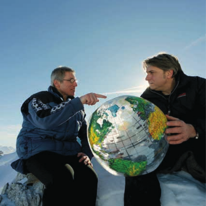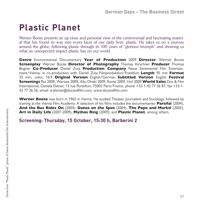### **Plastic Planet**

Werner Boote presents an up-close and personal view of the controversial and fascinating material that has found its way into every facet of our daily lives: plastic. He takes us on a journey around the globe, following plastic through its 100 years of "glorious triumph" and showing us what an unexpected impact plastic has on our world.

**Genre** Environmental Documentary **Year of Production** 2009 **Director** Werner Boote **Screenplay** Werner Boote **Director of Photography** Thomas Kirschner **Producer** Thomas Bogner **Co-Producer** Daniel Zuta **Production Company** Neue Sentimental Film Entertainment/Vienna, in co-production with Daniel Zuta Filmproduktion/Frankfurt **Length** 95 min **Format** 35 mm, color, 16:9 **Original Version** English/German **Subtitled Version** English **Festival Screenings** Rio 2009, Warsaw 2009, Abu Dhabi 2009, Rome 2009, Hof 2009 **World Sales** Doc & Film International, Daniela Elstner, 13 rue Portefoin, 75003 Paris/France, phone +33-1-42 77 56 87, fax +33-1- 42 77 36 56, email: d.elstner@docandfilm.com, www.docandfilm.com

Werner Boote was born in 1965 in Vienna. He studied Theater, Journalism and Sociology, followed by training at the Vienna Film Academy. A selection of his films includes the documentaries: **Parsifal** (2004), **And the Bus Rides On** (2004), **Dance on the Spot** (2004), **The Pope and Marktl** (2005), **Art in Daily Life** (2007-2009), **Mythos Ring** (2009), and **Plastic Planet**, among others.

**Screening: Thursday, 15 October, 15:30 h, Barberini 2**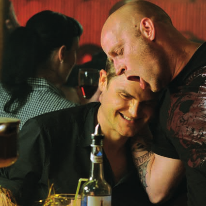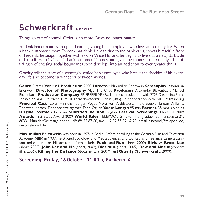### **Schwerkraft GRAVITY**

Things go out of control. Order is no more. Rules no longer matter.

Frederik Feinermann is an up-and-coming young bank employee who lives an ordinary life. When a bank customer, whom Frederik has denied a loan due to the bank crisis, shoots himself in front of Frederik, he snaps. Together with ex-con Vince Holland he begins to live out a new, dark side of himself. He robs his rich bank customers' homes and gives the money to the needy. The initial rush of crossing social boundaries soon develops into an addiction to ever greater thrills.

Gravity tells the story of a seemingly settled bank employee who breaks the shackles of his everyday life and becomes a wanderer between worlds.

**Genre** Drama **Year of Production** 2009 **Director** Maximilian Erlenwein **Screenplay** Maximilian Erlenwein **Director of Photography** Ngo The Chau **Producers** Alexander Bickenbach, Manuel Bickenbach **Production Company** FRISBEEFILMS/Berlin, in co-production with ZDF Das kleine Fernsehspiel/Mainz, Deutsche Film- & Fernsehakademie Berlin (dffb), in cooperation with ARTE/Strasbourg **Principal Cast** Fabian Hinrichs, Juergen Vogel, Nora von Waldstaetten, Jule Boewe, Jereon Willems, Thorsten Merten, Eleonore Weisgerber, Fahri Oguen Yardim **Length** 95 min **Format** 35 mm, color, cs **Original Version** German **Subtitled Version** English **Festival Screenings** Montreal 2009 **Awards** First Steps Award 2009 **World Sales** TELEPOOL GmbH, Irina Ignatiew, Sonnenstrasse 21, 80331 Munich/Germany, phone +49-89-55 87 60, fax +49-89-55 87 62 29, email: cinepool@telepool.de, www.telepool.de

**Maximilian Erlenwein** was born in 1975 in Berlin. Before enrolling at the German Film and Television Academy (dffb) in 1999, he studied Sociology and Media Sciences and worked as a freelance camera assistant and cameraman. His acclaimed films include: **Fuck and Run** (short, 2000), **Elvis vs Bruce Lee** (short, 2000), **John Lee and Me** (short, 2002), **Blackout** (short, 2005), **Raw and Uncut** (concert film, 2006), **Killing the Distance** (documentary, 2007), and **Gravity** (**Schwerkraft**, 2009).

#### **Screening: Friday, 16 October, 11:00 h, Barberini 4**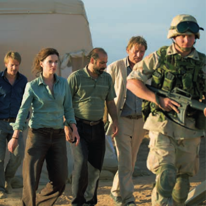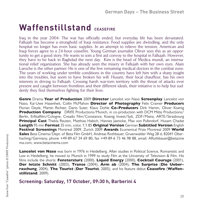### **Waffenstillstand CEASEFIRE**

Iraq in the year 2004: The war has officially ended, but everyday life has been devastated. Fallujah has become a stronghold of Iraqi resistance. Food supplies are dwindling, and the only hospital no longer has even basic supplies. In an attempt to relieve the tension, American and Iraqi forces agree to a 24-hour ceasefire. Young German journalist Oliver sees this as an opportunity to get a good story. He wants to join a first aid convoy to the hospital in Fallujah. However, they have to be back in Baghdad the next day. Kim is the head of Medica mundi, an international relief organization. She has already seen the misery in Fallujah with her own eyes. Alain Laroche is the other partner. He is one of the few remaining medical doctors in the combat zone. The years of working under terrible conditions in the country have left him with a sharp insight into the troubles, but seem to have broken his will. Husam, their local chauffeur, has his own interests in driving to Fallujah. Crossing harsh war-torn territory with the threat of attacks ever present and caught between frontlines and their different ideals, their initiative is to help but suddenly they find themselves fighting for their lives.

**Genre** Drama **Year of Production** 2009 **Director** Lancelot von Naso **Screenplay** Lancelot von Naso, Kai-Uwe Hasenheit, Collin McMahon **Director of Photography** Felix Cramer **Producers** Florian Deyle, Martin Richter, Dario Suter, Klaus Dohle **Co-Producers** Dirk Hamm, Oliver Koenig **Production Company** DRIFE Productions/Munich, in co-production with DCM Mitte Productions/ Berlin, Erfttalfilm/Cologne, Creado Film/Constance, Koenig Invest/Sylt, ZDF/Mainz, ARTE/Strasbourg **Principal Cast** Thekla Reuten, Matthias Habich, Hannes Jaenicke, Max von Pufendorf, Husam Chadat **Length** 95 min **Format** 35 mm, color, 1:1.85 **Original Version** German **Subtitled Version** English **Festival Screenings** Montreal 2009, Zurich 2009 **Awards** Ecumenical Prize Montreal 2009 **World Sales** Beta Cinema/Dept. of Beta Film GmbH, Andreas Rothbauer, Gruenwalder Weg 28 d, 82041 Oberhaching/Germany, phone +49-89-67 34 69 80, fax +49-89-6 73 46 98 88, email: ARothbauer@betacine ma.com, www.betacinema.com

**Lancelot von Naso** was born in 1976 in Heidelberg. After studies in Political Science, Romanistic and Law in Heidelberg, he moved to Munich in 1999 to study Film at the University of Television & Film. His films include the shorts: **Fenstersturz** (2000), **Liquid Energy** (2000), **Cocktail Courage** (2001), **Der letzte Schnitt** (2003), **Transe** (2004), **Arm ab** (2004), **The Surprise** (**Die Ueberraschung**, 2004), **The Tourist** (**Der Tourist**, 2005), and his feature debut **Ceasefire** (**Waffenstillstand**, 2009).

**Screening: Saturday, 17 October, 09:30 h, Barberini 4**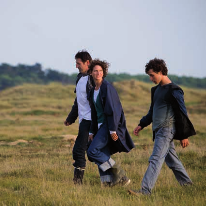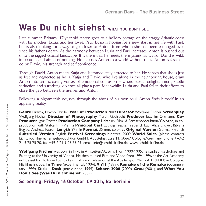### **Was Du nicht siehst WHAT YOU DON'T SEE**

Late summer, Brittany. 17-year-old Anton goes to a holiday cottage on the craggy Atlantic coast with his mother, Luzia, and her lover, Paul. Luzia is hoping for a new start in her life with Paul, but is also looking for a way to get closer to Anton, from whom she has been estranged ever since his father's death. As the harmony between Luzia and Paul increases, Anton is pushed out onto the jagged coastal landscape. It is there that he meets the mysterious, David. David is wild, impetuous and afraid of nothing. He exposes Anton to a world without rules. Anton is fascinated by David, his strength and self-confidence.

Through David, Anton meets Katja and is immediately attracted to her. He senses that she is just as lost and neglected as he is. Katja and David, who live alone in the neighboring house, draw Anton into an increasing vortex of emotional confusion – where sexual enlightenment, subtle seduction and surprising violence all play a part. Meanwhile, Luzia and Paul fail in their efforts to close the gap between themselves and Anton.

Following a nightmarish odyssey through the abyss of his own soul, Anton finds himself in an appalling reality.

**Genre** Drama, Psycho Thriller **Year of Production** 2009 **Director** Wolfgang Fischer **Screenplay** Wolfgang Fischer **Director of Photography** Martin Gschlacht **Producer** Joachim Ortmanns **Co-Producer** Igor Orovac **Production Company** Lichtblick Film- & Fernsehproduktion/Cologne, in coproduction with Stalkerfilm/Vienna **Principal Cast** Ludwig Trepte, Frederick Lau, Alice Dwyer, Bibiana Beglau, Andreas Patton **Length** 89 min **Format** 35 mm, color, cs **Original Version** German/French **Subtitled Version** English **Festival Screenings** Montreal 2009 **World Sales** (please contact) Lichtblick Film- & Fernsehproduktion GmbH, Apostelnstrasse 11, 50667 Cologne/Germany, phone +49-2 21-9 25 75 20, fax +49-2 21-9 25 75 29, email: info@lichtblick-film.de, www.lichtblick-film.de

**Wolfgang Fischer** was born in 1970 in Amstetten/Austria. From 1990-1995, he studied Psychology and Painting at the University of Vienna. He then studied Film and Video from 1994-1996 at the Art Academy in Duesseldorf, followed by studies in Film and Television at the Academy of Media Arts (KHM) in Cologne. His films include: **In Time** (experimental, 1994), **9h11** (1999), **Remake of the Remake** (documentary, 1999), **Disk – Dusk** (music video, 1999), **Schoen 2000** (2000), **Grau** (2001), and **What You Don't See** (**Was Du nicht siehst**, 2009).

**Screening: Friday, 16 October, 09:30 h, Barberini 4**